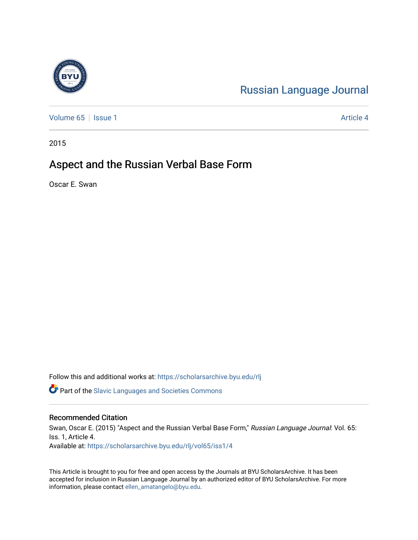# [Russian Language Journal](https://scholarsarchive.byu.edu/rlj)

[Volume 65](https://scholarsarchive.byu.edu/rlj/vol65) | [Issue 1](https://scholarsarchive.byu.edu/rlj/vol65/iss1) Article 4

2015

# Aspect and the Russian Verbal Base Form

Oscar E. Swan

Follow this and additional works at: [https://scholarsarchive.byu.edu/rlj](https://scholarsarchive.byu.edu/rlj?utm_source=scholarsarchive.byu.edu%2Frlj%2Fvol65%2Fiss1%2F4&utm_medium=PDF&utm_campaign=PDFCoverPages)

**P** Part of the Slavic Languages and Societies Commons

## Recommended Citation

Swan, Oscar E. (2015) "Aspect and the Russian Verbal Base Form," Russian Language Journal: Vol. 65: Iss. 1, Article 4. Available at: [https://scholarsarchive.byu.edu/rlj/vol65/iss1/4](https://scholarsarchive.byu.edu/rlj/vol65/iss1/4?utm_source=scholarsarchive.byu.edu%2Frlj%2Fvol65%2Fiss1%2F4&utm_medium=PDF&utm_campaign=PDFCoverPages) 

This Article is brought to you for free and open access by the Journals at BYU ScholarsArchive. It has been accepted for inclusion in Russian Language Journal by an authorized editor of BYU ScholarsArchive. For more information, please contact [ellen\\_amatangelo@byu.edu.](mailto:ellen_amatangelo@byu.edu)

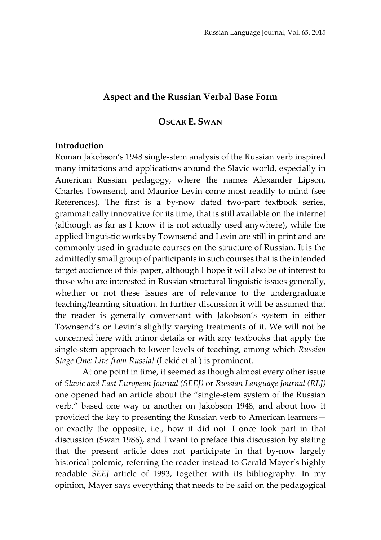## **Aspect and the Russian Verbal Base Form**

## **OSCAR E. SWAN**

#### **Introduction**

Roman Jakobson's 1948 single-stem analysis of the Russian verb inspired many imitations and applications around the Slavic world, especially in American Russian pedagogy, where the names Alexander Lipson, Charles Townsend, and Maurice Levin come most readily to mind (see References). The first is a by-now dated two-part textbook series, grammatically innovative for its time, that is still available on the internet (although as far as I know it is not actually used anywhere), while the applied linguistic works by Townsend and Levin are still in print and are commonly used in graduate courses on the structure of Russian. It is the admittedly small group of participants in such courses that is the intended target audience of this paper, although I hope it will also be of interest to those who are interested in Russian structural linguistic issues generally, whether or not these issues are of relevance to the undergraduate teaching/learning situation. In further discussion it will be assumed that the reader is generally conversant with Jakobson's system in either Townsend's or Levin's slightly varying treatments of it. We will not be concerned here with minor details or with any textbooks that apply the single-stem approach to lower levels of teaching, among which *Russian Stage One: Live from Russia!* (Lekić et al.) is prominent.

At one point in time, it seemed as though almost every other issue of *Slavic and East European Journal (SEEJ)* or *Russian Language Journal (RLJ)* one opened had an article about the "single-stem system of the Russian verb," based one way or another on Jakobson 1948, and about how it provided the key to presenting the Russian verb to American learners or exactly the opposite, i.e., how it did not. I once took part in that discussion (Swan 1986), and I want to preface this discussion by stating that the present article does not participate in that by-now largely historical polemic, referring the reader instead to Gerald Mayer's highly readable *SEEJ* article of 1993, together with its bibliography. In my opinion, Mayer says everything that needs to be said on the pedagogical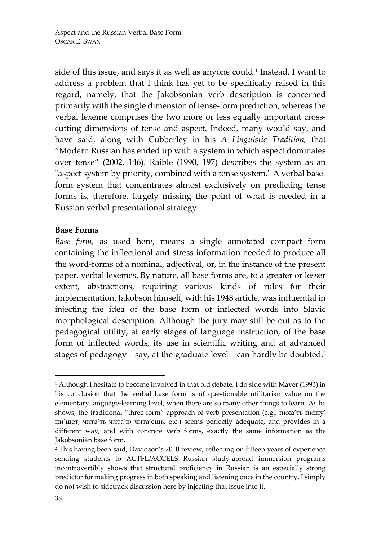side of this issue, and says it as well as anyone could.<sup>1</sup> Instead, I want to address a problem that I think has yet to be specifically raised in this regard, namely, that the Jakobsonian verb description is concerned primarily with the single dimension of tense-form prediction, whereas the verbal lexeme comprises the two more or less equally important crosscutting dimensions of tense and aspect. Indeed, many would say, and have said, along with Cubberley in his *A Linguistic Tradition,* that "Modern Russian has ended up with a system in which aspect dominates over tense" (2002, 146). Raible (1990, 197) describes the system as an "aspect system by priority, combined with a tense system." A verbal baseform system that concentrates almost exclusively on predicting tense forms is, therefore, largely missing the point of what is needed in a Russian verbal presentational strategy.

## **Base Forms**

*Base form,* as used here, means a single annotated compact form containing the inflectional and stress information needed to produce all the word-forms of a nominal, adjectival, or, in the instance of the present paper, verbal lexemes. By nature, all base forms are, to a greater or lesser extent, abstractions, requiring various kinds of rules for their implementation. Jakobson himself, with his 1948 article, was influential in injecting the idea of the base form of inflected words into Slavic morphological description. Although the jury may still be out as to the pedagogical utility, at early stages of language instruction, of the base form of inflected words, its use in scientific writing and at advanced stages of pedagogy—say, at the graduate level—can hardly be doubted. 2

<sup>1</sup> Although I hesitate to become involved in that old debate, I do side with Mayer (1993) in his conclusion that the verbal base form is of questionable utilitarian value on the elementary language-learning level, when there are so many other things to learn. As he shows, the traditional "three-form" approach of verb presentation (e.g., писа'ть пишу' пи'шет; чита'ть чита'ю чита'ешь, etc.) seems perfectly adequate, and provides in a different way, and with concrete verb forms, exactly the same information as the Jakobsonian base form.

<sup>2</sup> This having been said, Davidson's 2010 review, reflecting on fifteen years of experience sending students to ACTFL/ACCELS Russian study-abroad immersion programs incontrovertibly shows that structural proficiency in Russian is an especially strong predictor for making progress in both speaking and listening once in the country. I simply do not wish to sidetrack discussion here by injecting that issue into it.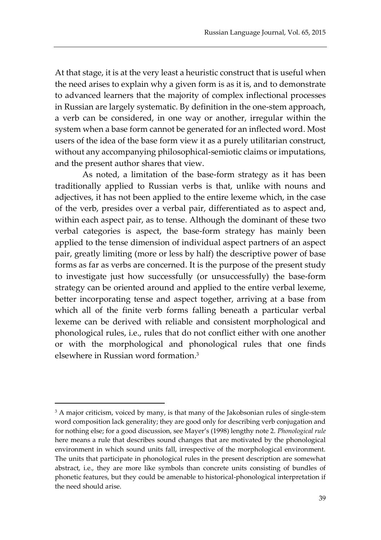At that stage, it is at the very least a heuristic construct that is useful when the need arises to explain why a given form is as it is, and to demonstrate to advanced learners that the majority of complex inflectional processes in Russian are largely systematic. By definition in the one-stem approach, a verb can be considered, in one way or another, irregular within the system when a base form cannot be generated for an inflected word. Most users of the idea of the base form view it as a purely utilitarian construct, without any accompanying philosophical-semiotic claims or imputations, and the present author shares that view.

As noted, a limitation of the base-form strategy as it has been traditionally applied to Russian verbs is that, unlike with nouns and adjectives, it has not been applied to the entire lexeme which, in the case of the verb, presides over a verbal pair, differentiated as to aspect and, within each aspect pair, as to tense. Although the dominant of these two verbal categories is aspect, the base-form strategy has mainly been applied to the tense dimension of individual aspect partners of an aspect pair, greatly limiting (more or less by half) the descriptive power of base forms as far as verbs are concerned. It is the purpose of the present study to investigate just how successfully (or unsuccessfully) the base-form strategy can be oriented around and applied to the entire verbal lexeme, better incorporating tense and aspect together, arriving at a base from which all of the finite verb forms falling beneath a particular verbal lexeme can be derived with reliable and consistent morphological and phonological rules, i.e., rules that do not conflict either with one another or with the morphological and phonological rules that one finds elsewhere in Russian word formation. 3

 $\overline{\phantom{a}}$ 

<sup>&</sup>lt;sup>3</sup> A major criticism, voiced by many, is that many of the Jakobsonian rules of single-stem word composition lack generality; they are good only for describing verb conjugation and for nothing else; for a good discussion, see Mayer's (1998) lengthy note 2. *Phonological rule* here means a rule that describes sound changes that are motivated by the phonological environment in which sound units fall, irrespective of the morphological environment. The units that participate in phonological rules in the present description are somewhat abstract, i.e., they are more like symbols than concrete units consisting of bundles of phonetic features, but they could be amenable to historical-phonological interpretation if the need should arise.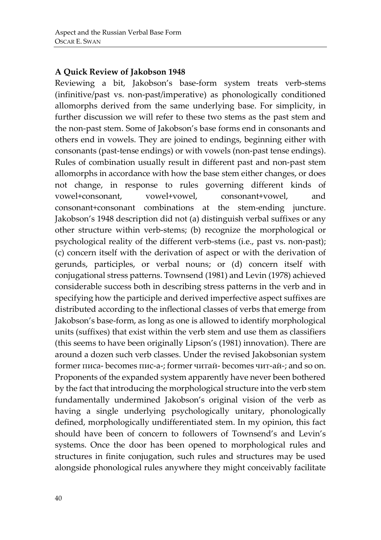# **A Quick Review of Jakobson 1948**

Reviewing a bit, Jakobson's base-form system treats verb-stems (infinitive/past vs. non-past/imperative) as phonologically conditioned allomorphs derived from the same underlying base. For simplicity, in further discussion we will refer to these two stems as the past stem and the non-past stem. Some of Jakobson's base forms end in consonants and others end in vowels. They are joined to endings, beginning either with consonants (past-tense endings) or with vowels (non-past tense endings). Rules of combination usually result in different past and non-past stem allomorphs in accordance with how the base stem either changes, or does not change, in response to rules governing different kinds of vowel+consonant, vowel+vowel, consonant+vowel, and consonant+consonant combinations at the stem-ending juncture. Jakobson's 1948 description did not (a) distinguish verbal suffixes or any other structure within verb-stems; (b) recognize the morphological or psychological reality of the different verb-stems (i.e., past vs. non-past); (c) concern itself with the derivation of aspect or with the derivation of gerunds, participles, or verbal nouns; or (d) concern itself with conjugational stress patterns. Townsend (1981) and Levin (1978) achieved considerable success both in describing stress patterns in the verb and in specifying how the participle and derived imperfective aspect suffixes are distributed according to the inflectional classes of verbs that emerge from Jakobson's base-form, as long as one is allowed to identify morphological units (suffixes) that exist within the verb stem and use them as classifiers (this seems to have been originally Lipson's (1981) innovation). There are around a dozen such verb classes. Under the revised Jakobsonian system former писа- becomes пис-а-; former читай- becomes чит-ай-; and so on. Proponents of the expanded system apparently have never been bothered by the fact that introducing the morphological structure into the verb stem fundamentally undermined Jakobson's original vision of the verb as having a single underlying psychologically unitary, phonologically defined, morphologically undifferentiated stem. In my opinion, this fact should have been of concern to followers of Townsend's and Levin's systems. Once the door has been opened to morphological rules and structures in finite conjugation, such rules and structures may be used alongside phonological rules anywhere they might conceivably facilitate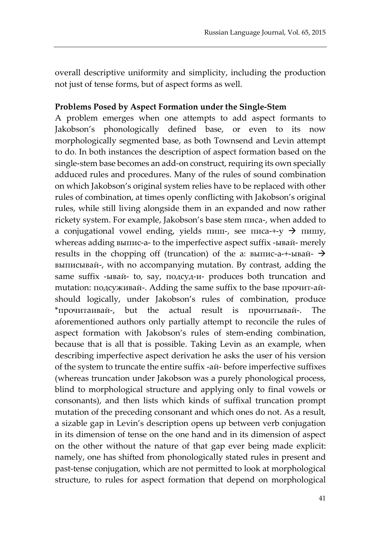overall descriptive uniformity and simplicity, including the production not just of tense forms, but of aspect forms as well.

## **Problems Posed by Aspect Formation under the Single-Stem**

A problem emerges when one attempts to add aspect formants to Jakobson's phonologically defined base, or even to its now morphologically segmented base, as both Townsend and Levin attempt to do. In both instances the description of aspect formation based on the single-stem base becomes an add-on construct, requiring its own specially adduced rules and procedures. Many of the rules of sound combination on which Jakobson's original system relies have to be replaced with other rules of combination, at times openly conflicting with Jakobson's original rules, while still living alongside them in an expanded and now rather rickety system. For example, Jakobson's base stem писа-, when added to a conjugational vowel ending, yields пиш-, see писа- $+y$   $\rightarrow$  пишу, whereas adding выпис-а- to the imperfective aspect suffix -ывай- merely results in the chopping off (truncation) of the а: выпис-а-+-ывай- $\rightarrow$ выписывай-, with no accompanying mutation. By contrast, adding the same suffix -ывай- to, say, подсуд-и- produces both truncation and mutation: подсуживай-. Adding the same suffix to the base прочит-айshould logically, under Jakobson's rules of combination, produce \*прочитаивай-, but the actual result is прочитывай-. The aforementioned authors only partially attempt to reconcile the rules of aspect formation with Jakobson's rules of stem-ending combination, because that is all that is possible. Taking Levin as an example, when describing imperfective aspect derivation he asks the user of his version of the system to truncate the entire suffix -ай- before imperfective suffixes (whereas truncation under Jakobson was a purely phonological process, blind to morphological structure and applying only to final vowels or consonants), and then lists which kinds of suffixal truncation prompt mutation of the preceding consonant and which ones do not. As a result, a sizable gap in Levin's description opens up between verb conjugation in its dimension of tense on the one hand and in its dimension of aspect on the other without the nature of that gap ever being made explicit: namely, one has shifted from phonologically stated rules in present and past-tense conjugation, which are not permitted to look at morphological structure, to rules for aspect formation that depend on morphological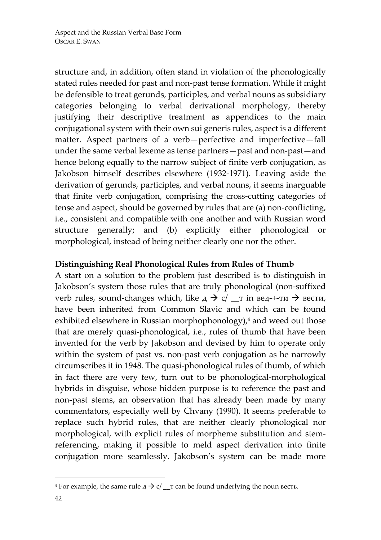structure and, in addition, often stand in violation of the phonologically stated rules needed for past and non-past tense formation. While it might be defensible to treat gerunds, participles, and verbal nouns as subsidiary categories belonging to verbal derivational morphology, thereby justifying their descriptive treatment as appendices to the main conjugational system with their own sui generis rules, aspect is a different matter. Aspect partners of a verb—perfective and imperfective—fall under the same verbal lexeme as tense partners—past and non-past—and hence belong equally to the narrow subject of finite verb conjugation, as Jakobson himself describes elsewhere (1932-1971). Leaving aside the derivation of gerunds, participles, and verbal nouns, it seems inarguable that finite verb conjugation, comprising the cross-cutting categories of tense and aspect, should be governed by rules that are (a) non-conflicting, i.e., consistent and compatible with one another and with Russian word structure generally; and (b) explicitly either phonological or morphological, instead of being neither clearly one nor the other.

# **Distinguishing Real Phonological Rules from Rules of Thumb**

A start on a solution to the problem just described is to distinguish in Jakobson's system those rules that are truly phonological (non-suffixed verb rules, sound-changes which, like  $\overline{A} \rightarrow \overline{C}$   $\overline{C}$  in вед-+-ти  $\rightarrow$  вести, have been inherited from Common Slavic and which can be found exhibited elsewhere in Russian morphophonology), <sup>4</sup> and weed out those that are merely quasi-phonological, i.e., rules of thumb that have been invented for the verb by Jakobson and devised by him to operate only within the system of past vs. non-past verb conjugation as he narrowly circumscribes it in 1948. The quasi-phonological rules of thumb, of which in fact there are very few, turn out to be phonological-morphological hybrids in disguise, whose hidden purpose is to reference the past and non-past stems, an observation that has already been made by many commentators, especially well by Chvany (1990). It seems preferable to replace such hybrid rules, that are neither clearly phonological nor morphological, with explicit rules of morpheme substitution and stemreferencing, making it possible to meld aspect derivation into finite conjugation more seamlessly. Jakobson's system can be made more

<sup>&</sup>lt;sup>4</sup> For example, the same rule  $A \rightarrow c / \underline{\ }$  r can be found underlying the noun весть.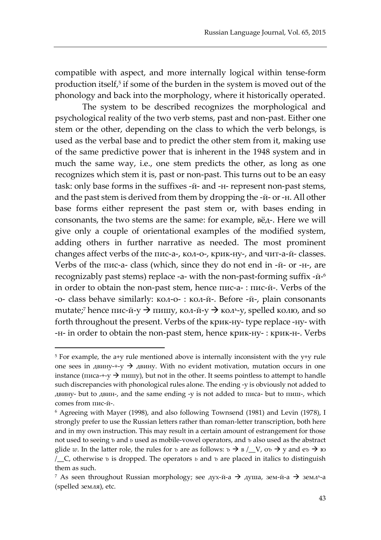compatible with aspect, and more internally logical within tense-form production itself, 5 if some of the burden in the system is moved out of the phonology and back into the morphology, where it historically operated.

The system to be described recognizes the morphological and psychological reality of the two verb stems, past and non-past. Either one stem or the other, depending on the class to which the verb belongs, is used as the verbal base and to predict the other stem from it, making use of the same predictive power that is inherent in the 1948 system and in much the same way, i.e., one stem predicts the other, as long as one recognizes which stem it is, past or non-past. This turns out to be an easy task: only base forms in the suffixes -й- and -н- represent non-past stems, and the past stem is derived from them by dropping the -й- or -н. All other base forms either represent the past stem or, with bases ending in consonants, the two stems are the same: for example, вёд-. Here we will give only a couple of orientational examples of the modified system, adding others in further narrative as needed. The most prominent changes affect verbs of the пис-а-, кол-о-, крик-ну-, and чит-а-й- classes. Verbs of the пис-а- class (which, since they do not end in -й- or -н-, are recognizably past stems) replace -а- with the non-past-forming suffix -й-6 in order to obtain the non-past stem, hence пис-а- : пис-й-. Verbs of the -o- class behave similarly: кол-о- : кол-й-. Before -й-, plain consonants mutate;<sup>7</sup> hence пис-й-у  $\rightarrow$  пишу, кол-й-у  $\rightarrow$  коль-у, spelled колю, and so forth throughout the present. Verbs of the крик-ну- type replace -ну- with -н- in order to obtain the non-past stem, hence крик-ну- : крик-н-. Verbs

 $5$  For example, the a+y rule mentioned above is internally inconsistent with the  $y+y$  rule one sees in двину- $+y$   $\rightarrow$  двину. With no evident motivation, mutation occurs in one instance (писа-+-у  $\rightarrow$  пишу), but not in the other. It seems pointless to attempt to handle such discrepancies with phonological rules alone. The ending -у is obviously not added to двину- but to двин-, and the same ending -у is not added to писа- but to пиш-, which comes from пис-й-.

<sup>6</sup> Agreeing with Mayer (1998), and also following Townsend (1981) and Levin (1978), I strongly prefer to use the Russian letters rather than roman-letter transcription, both here and in my own instruction. This may result in a certain amount of estrangement for those not used to seeing *ъ* and *ь* used as mobile-vowel operators, and *ъ* also used as the abstract glide *w*. In the latter role, the rules for *ъ* are as follows:  $\bar{v} \to B / L V$ ,  $\sigma \bar{v} \to y$  and  $e \bar{v} \to w$ /\_\_C, otherwise *ъ* is dropped. The operators *ь* and *ъ* are placed in italics to distinguish them as such.

 $^7$  As seen throughout Russian morphology; see дух-й-а  $\rightarrow$  душа, зем-й-а  $\rightarrow$  земл<sup>ь</sup>-а (spelled земля), etc.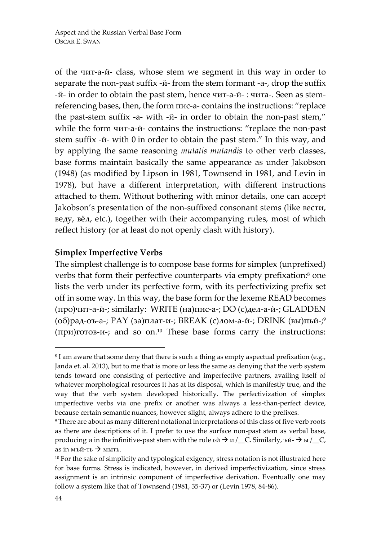of the чит-а-й- class, whose stem we segment in this way in order to separate the non-past suffix -й- from the stem formant -а-, drop the suffix -й- in order to obtain the past stem, hence чит-а-й- : чита-. Seen as stemreferencing bases, then, the form пис-а- contains the instructions: "replace the past-stem suffix -а- with -й- in order to obtain the non-past stem," while the form чит-а-й- contains the instructions: "replace the non-past stem suffix -й- with 0 in order to obtain the past stem." In this way, and by applying the same reasoning *mutatis mutandis* to other verb classes, base forms maintain basically the same appearance as under Jakobson (1948) (as modified by Lipson in 1981, Townsend in 1981, and Levin in 1978), but have a different interpretation, with different instructions attached to them. Without bothering with minor details, one can accept Jakobson's presentation of the non-suffixed consonant stems (like вести, веду, вёл, etc.), together with their accompanying rules, most of which reflect history (or at least do not openly clash with history).

# **Simplex Imperfective Verbs**

The simplest challenge is to compose base forms for simplex (unprefixed) verbs that form their perfective counterparts via empty prefixation:<sup>8</sup> one lists the verb under its perfective form, with its perfectivizing prefix set off in some way. In this way, the base form for the lexeme READ becomes (про)чит-а-й-; similarly: WRITE (на)пис-а-; DO (с)дел-а-й-; GLADDEN (об)рад-оъ-а-; PAY (за)плат-и-; BREAK (с)лом-а-й-; DRINK (вы)пьй-; 9 (при)готов-и-; and so on.<sup>10</sup> These base forms carry the instructions:

 $81$  am aware that some deny that there is such a thing as empty aspectual prefixation (e.g., Janda et. al. 2013), but to me that is more or less the same as denying that the verb system tends toward one consisting of perfective and imperfective partners, availing itself of whatever morphological resources it has at its disposal, which is manifestly true, and the way that the verb system developed historically. The perfectivization of simplex imperfective verbs via one prefix or another was always a less-than-perfect device, because certain semantic nuances, however slight, always adhere to the prefixes.

<sup>&</sup>lt;sup>9</sup> There are about as many different notational interpretations of this class of five verb roots as there are descriptions of it. I prefer to use the surface non-past stem as verbal base, producing *u* in the infinitive-past stem with the rule  $b\ddot{n} \rightarrow u/\underline{\hspace{1cm}} C$ . Similarly,  $b\ddot{n} \rightarrow b\ddot{n}/\underline{\hspace{1cm}} C$ , аs in мъй-ть  $\rightarrow$  мыть.

<sup>&</sup>lt;sup>10</sup> For the sake of simplicity and typological exigency, stress notation is not illustrated here for base forms. Stress is indicated, however, in derived imperfectivization, since stress assignment is an intrinsic component of imperfective derivation. Eventually one may follow a system like that of Townsend (1981, 35-37) or (Levin 1978, 84-86).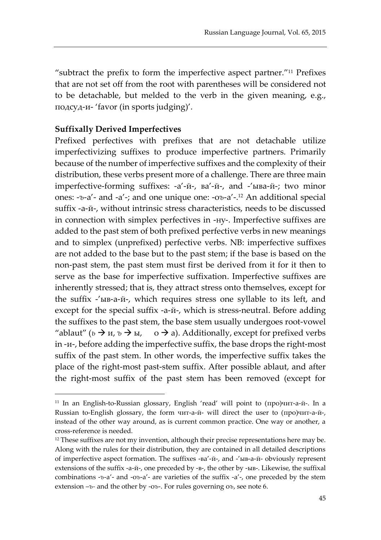"subtract the prefix to form the imperfective aspect partner."<sup>11</sup> Prefixes that are not set off from the root with parentheses will be considered not to be detachable, but melded to the verb in the given meaning, e.g., подсуд-и- 'favor (in sports judging)'.

# **Suffixally Derived Imperfectives**

 $\overline{a}$ 

Prefixed perfectives with prefixes that are not detachable utilize imperfectivizing suffixes to produce imperfective partners. Primarily because of the number of imperfective suffixes and the complexity of their distribution, these verbs present more of a challenge. There are three main imperfective-forming suffixes: -а'-й-, ва'-й-, and -'ыва-й-; two minor ones: -*ъ*-а'- and -a'-; and one unique one: -о*ъ*-а'-. <sup>12</sup> An additional special suffix -а-й-, without intrinsic stress characteristics, needs to be discussed in connection with simplex perfectives in -ну-. Imperfective suffixes are added to the past stem of both prefixed perfective verbs in new meanings and to simplex (unprefixed) perfective verbs. NB: imperfective suffixes are not added to the base but to the past stem; if the base is based on the non-past stem, the past stem must first be derived from it for it then to serve as the base for imperfective suffixation. Imperfective suffixes are inherently stressed; that is, they attract stress onto themselves, except for the suffix -'ыв-а-й-, which requires stress one syllable to its left, and except for the special suffix -a-й-, which is stress-neutral. Before adding the suffixes to the past stem, the base stem usually undergoes root-vowel "ablaut" ( $b \rightarrow u$ ,  $\bar{b} \rightarrow b$ ,  $\sigma \rightarrow a$ ). Additionally, except for prefixed verbs in -и-, before adding the imperfective suffix, the base drops the right-most suffix of the past stem. In other words, the imperfective suffix takes the place of the right-most past-stem suffix. After possible ablaut, and after the right-most suffix of the past stem has been removed (except for

<sup>&</sup>lt;sup>11</sup> In an English-to-Russian glossary, English 'read' will point to  $(npo)$  *urr*-a- $\check{n}$ -. In a Russian to-English glossary, the form чит-а-й- will direct the user to (про)чит-а-й-, instead of the other way around, as is current common practice. One way or another, a cross-reference is needed.

<sup>&</sup>lt;sup>12</sup> These suffixes are not my invention, although their precise representations here may be. Along with the rules for their distribution, they are contained in all detailed descriptions of imperfective aspect formation. Тhe suffixes -ва'-й-, and -'ыв-а-й- obviously represent extensions of the suffix -а-й-, one preceded by -в-, the other by -ыв-. Likewise, the suffixal combinations -*ъ*-а'- and -о*ъ*-а'- are varieties of the suffix -а'-, one preceded by the stem extension –*ъ-* and the other by -о*ъ*-. For rules governing о*ъ*, see note 6.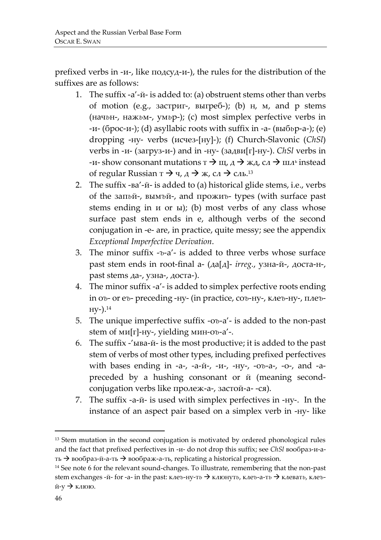prefixed verbs in -и-, like подсуд-и-), the rules for the distribution of the suffixes are as follows:

- 1. The suffix -а'-й- is added to: (a) obstruent stems other than verbs of motion (e.g., застриг-, выгреб-); (b) н, м, and р stems (нач*ь*н-, наж*ь*м-, ум*ь*р-); (c) most simplex perfective verbs in -и- (брос-и-); (d) asyllabic roots with suffix in -а- (выб*ь*р-а-); (e) dropping -ну- verbs (исчез-[ну]-); (f) Church-Slavonic (*ChSl*) verbs in -и- (загруз-и-) and in -ну- (задви[г]-ну-). *ChSl* verbs in -и-show consonant mutations  $\tau \rightarrow \mu, \lambda \rightarrow \kappa, \lambda, \lambda \rightarrow \mu, \lambda$  instead of regular Russian т $\rightarrow$  ч, д $\rightarrow$  ж, сл $\rightarrow$  сль.<sup>13</sup>
- 2. The suffix -ва'-й- is added to (a) historical glide stems, i.e., verbs of the зап*ь*й-, вым*ъ*й-, and прожи*ъ*- types (with surface past stems ending in и or ы); (b) most verbs of any class whose surface past stem ends in е, although verbs of the second conjugation in -e- are, in practice, quite messy; see the appendix *Exceptional Imperfective Derivation*.
- 3. The minor suffix -*ъ*-а'- is added to three verbs whose surface past stem ends in root-final а- (да[д]- *irreg.*, узна-й-, доста-н-, past stems да-, узна-, доста-).
- 4. The minor suffix -а'- is added to simplex perfective roots ending in о*ъ*- or е*ъ*- preceding -ну- (in practice, со*ъ*-ну-, кле*ъ*-ну-, пле*ъ*ну-). 14
- 5. The unique imperfective suffix -о*ъ*-а'- is added to the non-past stem of ми[г]-ну-, yielding мин-о*ъ*-а'-.
- 6. The suffix -'ыва-й- is the most productive; it is added to the past stem of verbs of most other types, including prefixed perfectives with bases ending in -а-, -а-й-, -и-, -ну-, -о*ъ*-а-, -о-, and -аpreceded by a hushing consonant or й (meaning secondconjugation verbs like пролеж-а-, застой-а- -ся).
- 7. The suffix -а-й- is used with simplex perfectives in -ну-.In the instance of an aspect pair based on a simplex verb in -ну- like

<sup>&</sup>lt;sup>13</sup> Stem mutation in the second conjugation is motivated by ordered phonological rules and the fact that prefixed perfectives in -и- do not drop this suffix; see *ChSl* вообраз-и-ать  $\rightarrow$ вообраз-й-а-ть  $\rightarrow$ воображ-а-ть, replicating a historical progression.

<sup>&</sup>lt;sup>14</sup> See note 6 for the relevant sound-changes. To illustrate, remembering that the non-past stem exchanges -й- for -а- in the past: кле*ъ*-ну-т*ь* клюнут*ь*, кле*ъ*-а-т*ь* клеват*ь*, кле*ъ*й-у  $\rightarrow$  клюю.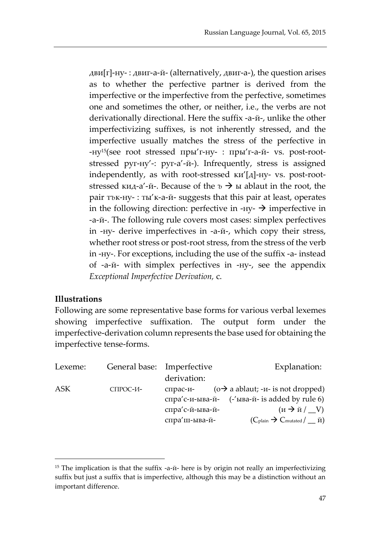дви $[r]$ -ну- : двиг-а-й- (alternatively, двиг-а-), the question arises as to whether the perfective partner is derived from the imperfective or the imperfective from the perfective, sometimes one and sometimes the other, or neither, i.e., the verbs are not derivationally directional. Here the suffix -а-й-, unlike the other imperfectivizing suffixes, is not inherently stressed, and the imperfective usually matches the stress of the perfective in -ну15(see root stressed пры'г-ну- : пры'г-а-й- vs. post-rootstressed руг-ну'-: руг-а'-й-). Infrequently, stress is assigned independently, as with root-stressed ки'[д]-ну- vs. post-rootstressed кид-а'-й-. Because of the  $\delta \rightarrow \mu$  ablaut in the root, the pair т*ъ*к-ну- : ты'к-а-й- suggests that this pair at least, operates in the following direction: perfective in -ну-  $\rightarrow$  imperfective in -а-й-. The following rule covers most cases: simplex perfectives in -ну- derive imperfectives in -а-й-, which copy their stress, whether root stress or post-root stress, from the stress of the verb in -ну-. For exceptions, including the use of the suffix -а- instead of -а-й- with simplex perfectives in -ну-, see the appendix *Exceptional Imperfective Derivation,* c.

## **Illustrations**

 $\overline{\phantom{a}}$ 

Following are some representative base forms for various verbal lexemes showing imperfective suffixation. The output form under the imperfective-derivation column represents the base used for obtaining the imperfective tense-forms.

| Lexeme: | General base: Imperfective |                 | Explanation:                                                                            |
|---------|----------------------------|-----------------|-----------------------------------------------------------------------------------------|
|         |                            | derivation:     |                                                                                         |
| ASK     | СПРОС-И-                   | спрас-и-        | $(o \rightarrow a$ ablaut; - <i>u</i> - is not dropped)                                 |
|         |                            |                 | спра'с-и-ыва-й- $(-\text{′вIBa-й- is added by rule 6})$                                 |
|         |                            | спра'с-й-ыва-й- | $(\text{M} \rightarrow \text{M} / \_\text{V})$                                          |
|         |                            | спра'ш-ыва-й-   | $(C_{\text{plain}} \rightarrow C_{\text{mutated}} / \underline{\ } \check{\mathrm{n}})$ |

<sup>&</sup>lt;sup>15</sup> The implication is that the suffix -а-й- here is by origin not really an imperfectivizing suffix but just a suffix that is imperfective, although this may be a distinction without an important difference.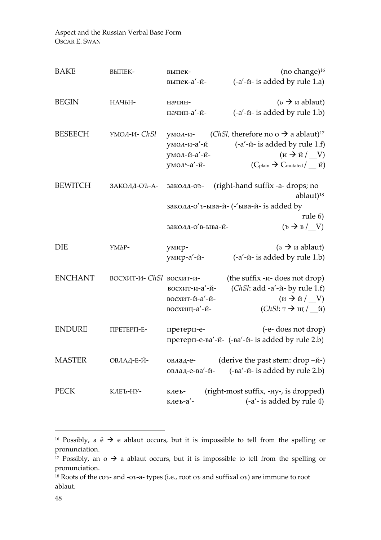| <b>BAKE</b>    | ВЫПЕК-                   | выпек-<br>выпек-а'-й-                                 | (no change) <sup>16</sup><br>(-a'-й- is added by rule 1.a)                                                                                                                                                                                                       |
|----------------|--------------------------|-------------------------------------------------------|------------------------------------------------------------------------------------------------------------------------------------------------------------------------------------------------------------------------------------------------------------------|
| <b>BEGIN</b>   | НАЧЬН-                   | начин-<br>начин-а'-й-                                 | $(v \rightarrow u$ ablaut)<br>(-a'-й- is added by rule 1.b)                                                                                                                                                                                                      |
| <b>BESEECH</b> | умол-и- ChSl             | умол-и-<br>умол-и-а'-й<br>умол-й-а'-й-<br>умоль-а'-й- | ( <i>ChSl</i> , therefore no o $\rightarrow$ a ablaut) <sup>17</sup><br>(-a'-й- is added by rule 1.f)<br>$(u \rightarrow \check{u} / \underline{V})$<br>$(C_{\text{plain}} \rightarrow C_{\text{mutated}} / \underline{\hspace{0.1cm}} \check{\hspace{0.1cm}n})$ |
| <b>BEWITCH</b> | ЗАКОЛД-ОЪ-А-             | заколд-оъ-<br>заколд-о'в-ыва-й-                       | (right-hand suffix -a- drops; no<br>ablaut) <sup>18</sup><br>заколд-о' <i>ъ</i> -ыва-й- (-'ыва-й- is added by<br>rule 6)<br>$(\nu \rightarrow B / V)$                                                                                                            |
| DIE            | УМЬР-                    | умир-<br>умир-а'-й-                                   | $(b \rightarrow u$ ablaut)<br>(-a'-й- is added by rule 1.b)                                                                                                                                                                                                      |
| <b>ENCHANT</b> | BOCXИT-И- ChSl восхит-и- | восхит-и-а'-й-<br>восхит-й-а'-й-<br>восхищ-а'-й-      | (the suffix - <i>u</i> - does not drop)<br>(ChSl: add -a'-й- by rule 1.f)<br>$(\text{u} \rightarrow \text{u} / \_V)$<br>$(ChSl: \tau \rightarrow \mu / \mu)$ й)                                                                                                  |
| <b>ENDURE</b>  | ПРЕТЕРП-Е-               | претерп-е-                                            | (-e- does not drop)<br>претерп-е-ва'-й- (-ва'-й- is added by rule 2.b)                                                                                                                                                                                           |
| <b>MASTER</b>  | ОВЛАД-Е-Й-               | овлад-е-                                              | (derive the past stem: $drop -W$ -)<br>овлад-е-ва'-й- (-ва'-й- is added by rule 2.b)                                                                                                                                                                             |
| <b>PECK</b>    | КЛЕЪ-НУ-                 | клеъ-<br>клеъ-а'-                                     | (right-most suffix, -Hy-, is dropped)<br>(-a'- is added by rule 4)                                                                                                                                                                                               |

<sup>&</sup>lt;sup>16</sup> Possibly, a  $\ddot{e} \rightarrow e$  ablaut occurs, but it is impossible to tell from the spelling or pronunciation.

<sup>&</sup>lt;sup>17</sup> Possibly, an o  $\rightarrow$  a ablaut occurs, but it is impossible to tell from the spelling or pronunciation.

<sup>18</sup> Roots of the со*ъ*- and -о*ъ*-а- types (i.e., root о*ъ* and suffixal о*ъ*) are immune to root ablaut.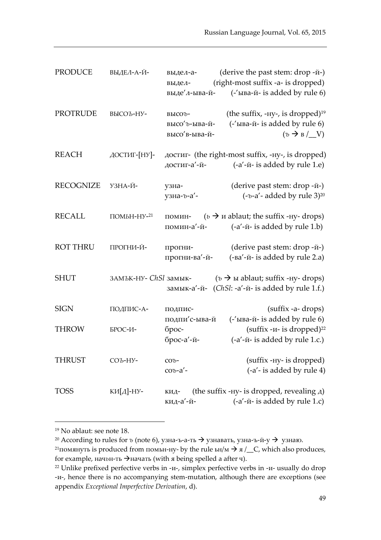| <b>PRODUCE</b>   | ВЫДЕЛ-А-Й-             | выдел-а-<br>выдел-<br>выде′л-ыва-й-       | (derive the past stem: drop - $\check{n}$ -)<br>(right-most suffix -a- is dropped)<br>(-'ыва-й- is added by rule 6)           |
|------------------|------------------------|-------------------------------------------|-------------------------------------------------------------------------------------------------------------------------------|
| <b>PROTRUDE</b>  | ВЫСОЪ-НУ-              | высоъ-<br>высо' ъ-ыва-й-<br>высо'в-ыва-й- | (the suffix, -ну-, is dropped) <sup>19</sup><br>$(-\text{LIBa-}W - \text{is added by rule 6})$<br>$( \nu \rightarrow B / V )$ |
| <b>REACH</b>     | ДОСТИГ-[НУ]-           | достиг-а'-й-                              | достиг- (the right-most suffix, -ну-, is dropped)<br>(-a'-й- is added by rule 1.e)                                            |
| <b>RECOGNIZE</b> | УЗНА-Й-                | узна-<br>узна-ъ-а'-                       | (derive past stem: drop -й-)<br>$(-b-a'-added by rule 3)^{20}$                                                                |
| <b>RECALL</b>    | $\Pi$ OMbH-HY- $^{21}$ | помин-<br>помин-а′-й-                     | $(b \rightarrow u$ ablaut; the suffix -Hy- drops)<br>$(-a'-\check{u}-i\check{s})$ added by rule 1.b)                          |
| <b>ROT THRU</b>  | ПРОГНИ-Й-              | прогни-<br>прогни-ва'-й-                  | (derive past stem: drop -й-)<br>(-ва'-й- is added by rule 2.a)                                                                |
| <b>SHUT</b>      | замък-ну- ChSl замык-  |                                           | $(v \rightarrow \mathbf{b})$ ы ablaut; suffix -ну- drops)<br>замык-а'-й- (ChSl: -a'-й- is added by rule 1.f.)                 |
| <b>SIGN</b>      | ПОДПИС-А-              | подпис-<br>подпи'с-ыва-й                  | (suffix -a- drops)<br>(-'ыва-й- is added by rule 6)                                                                           |
| <b>THROW</b>     | БРОС-И-                | брос-<br>брос-а'-й-                       | $(sufficient -v - is dropped)^{22}$<br>$(-a'-\bar{u}-i\bar{s})$ added by rule 1.c.)                                           |
| <b>THRUST</b>    | СОЪ-НУ-                | $COD$ -<br>$\cos$ -a'-                    | (suffix -Hy- is dropped)<br>(-a'- is added by rule 4)                                                                         |
| <b>TOSS</b>      | КИ[Д]-НУ-              | КИД-<br>кид-а'-й-                         | (the suffix -Hy- is dropped, revealing $\alpha$ )<br>$(-a'-\bar{u}-i\bar{s})$ added by rule 1.c)                              |

<sup>19</sup> No ablaut: see note 18.

<sup>&</sup>lt;sup>20</sup> According to rules for *ъ* (note 6), узна-ъ-а-ть → узнавать, узна-ъ-й-у → узнаю.

<sup>&</sup>lt;sup>21</sup> помянуть is produced from помьн-ну- by the rule  $\frac{1}{M}$   $\rightarrow$   $\frac{1}{\pi}$ , which also produces, for example, начьн-ть >начать (with я being spelled a after ч).

<sup>&</sup>lt;sup>22</sup> Unlike prefixed perfective verbs in -и-, simplex perfective verbs in -и- usually do drop -и-, hence there is no accompanying stem-mutation, although there are exceptions (see appendix *Exceptional Imperfective Derivation*, d).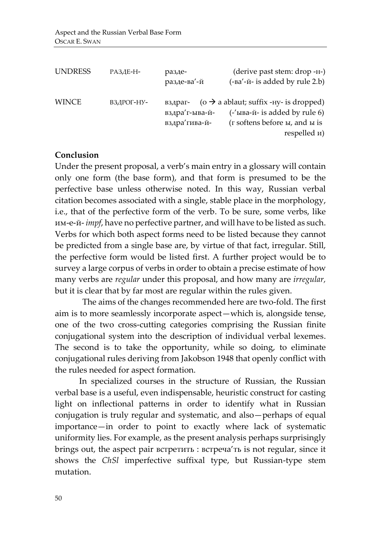| <b>UNDRESS</b> | РАЗДЕ-Н-   | разде-<br>разде-ва'-й            | (derive past stem: drop -н-)<br>(-ва'-й- is added by rule 2.b)                                                                                                                      |
|----------------|------------|----------------------------------|-------------------------------------------------------------------------------------------------------------------------------------------------------------------------------------|
| <b>WINCE</b>   | ВЗДРОГ-НУ- | вздра' г-ыва-й-<br>вздра'гива-й- | вздраг- ( $o \rightarrow a$ ablaut; suffix -ну- is dropped)<br>$(-\text{LIBa-}n\text{-}i\text{-} \cdot \text{is added by rule 6})$<br>(г softens before ы, and ы is<br>respelled и) |

# **Conclusion**

Under the present proposal, a verb's main entry in a glossary will contain only one form (the base form), and that form is presumed to be the perfective base unless otherwise noted. In this way, Russian verbal citation becomes associated with a single, stable place in the morphology, i.e., that of the perfective form of the verb. To be sure, some verbs, like им-е-й- *impf*, have no perfective partner, and will have to be listed as such. Verbs for which both aspect forms need to be listed because they cannot be predicted from a single base are, by virtue of that fact, irregular. Still, the perfective form would be listed first. A further project would be to survey a large corpus of verbs in order to obtain a precise estimate of how many verbs are *regular* under this proposal, and how many are *irregular,*  but it is clear that by far most are regular within the rules given.

The aims of the changes recommended here are two-fold. The first aim is to more seamlessly incorporate aspect—which is, alongside tense, one of the two cross-cutting categories comprising the Russian finite conjugational system into the description of individual verbal lexemes. The second is to take the opportunity, while so doing, to eliminate conjugational rules deriving from Jakobson 1948 that openly conflict with the rules needed for aspect formation.

 In specialized courses in the structure of Russian, the Russian verbal base is a useful, even indispensable, heuristic construct for casting light on inflectional patterns in order to identify what in Russian conjugation is truly regular and systematic, and also—perhaps of equal importance—in order to point to exactly where lack of systematic uniformity lies. For example, as the present analysis perhaps surprisingly brings out, the aspect pair встретить : встреча'ть is not regular, since it shows the *ChSl* imperfective suffixal type, but Russian-type stem mutation.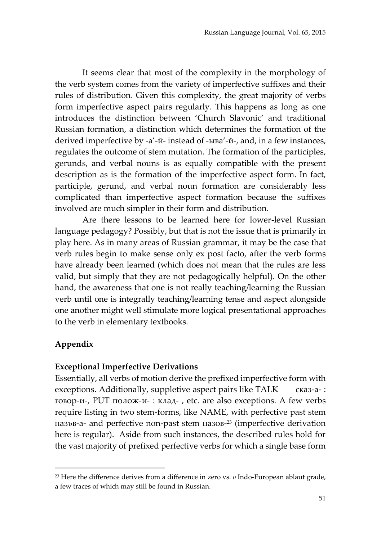It seems clear that most of the complexity in the morphology of the verb system comes from the variety of imperfective suffixes and their rules of distribution. Given this complexity, the great majority of verbs form imperfective aspect pairs regularly. This happens as long as one introduces the distinction between 'Church Slavonic' and traditional Russian formation, a distinction which determines the formation of the derived imperfective by -а'-й- instead of -ыва'-й-, and, in a few instances, regulates the outcome of stem mutation. The formation of the participles, gerunds, and verbal nouns is as equally compatible with the present description as is the formation of the imperfective aspect form. In fact, participle, gerund, and verbal noun formation are considerably less complicated than imperfective aspect formation because the suffixes involved are much simpler in their form and distribution.

Are there lessons to be learned here for lower-level Russian language pedagogy? Possibly, but that is not the issue that is primarily in play here. As in many areas of Russian grammar, it may be the case that verb rules begin to make sense only ex post facto, after the verb forms have already been learned (which does not mean that the rules are less valid, but simply that they are not pedagogically helpful). On the other hand, the awareness that one is not really teaching/learning the Russian verb until one is integrally teaching/learning tense and aspect alongside one another might well stimulate more logical presentational approaches to the verb in elementary textbooks.

# **Appendix**

 $\overline{\phantom{a}}$ 

## **Exceptional Imperfective Derivations**

Essentially, all verbs of motion derive the prefixed imperfective form with exceptions. Additionally, suppletive aspect pairs like TALK сказ-а-: говор-и-, PUT полож-и- : клад- , etc. are also exceptions. A few verbs require listing in two stem-forms, like NAME, with perfective past stem наз*ъ*в-а- and perfective non-past stem назов-<sup>23</sup> (imperfective derivation here is regular). Aside from such instances, the described rules hold for the vast majority of prefixed perfective verbs for which a single base form

<sup>23</sup> Here the difference derives from a difference in zero vs. *o* Indo-European ablaut grade, a few traces of which may still be found in Russian.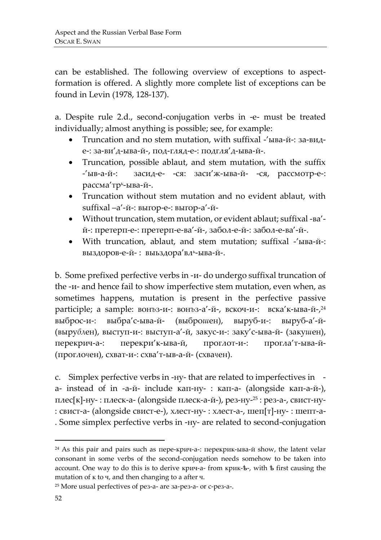can be established. The following overview of exceptions to aspectformation is offered. A slightly more complete list of exceptions can be found in Levin (1978, 128-137).

a. Despite rule 2.d., second-conjugation verbs in -e- must be treated individually; almost anything is possible; see, for example:

- Truncation and no stem mutation, with suffixal -'ыва-й-: за-виде-: за-ви'д-ыва-й-, под-гляд-е-: подгля'д-ыва-й-.
- Truncation, possible ablaut, and stem mutation, with the suffix -'ыв-а-й-: засид-е- -ся: заси'ж-ыва-й- -ся, рассмотр-е-: рассма'тр<sup>ь</sup> -ыва-й-.
- Truncation without stem mutation and no evident ablaut, with suffixal –а'-й-: выгор-е-: выгор-а'-й-
- Without truncation, stem mutation, or evident ablaut; suffixal -ва' й-: претерп-е-: претерп-е-ва'-й-, забол-е-й-: забол-е-ва'-й-.
- With truncation, ablaut, and stem mutation; suffixal -'ыва-й-: выздоров-е-й- : выьздора′в*л*ь-ыва-й-.

b. Some prefixed perfective verbs in -и- do undergo suffixal truncation of the -и- and hence fail to show imperfective stem mutation, even when, as sometimes happens, mutation is present in the perfective passive participle; a sample: вон*ъ*з-и-: вон*ъ*з-а'-й-, вскоч-и-: вска'к-ыва-й-, 24 выброс-и-: выбра'с-ыва-й- (выбро*ш*ен), выруб-и-: выруб-а'-й- (выру*бл*ен), выступ-и-: выступ-а'-й, закус-и-: заку'с-ыва-й- (заку*ш*ен), перекрич-а-: перекри'к-ыва-й, проглот-и-: прогла'т-ыва-й- (прогло*ч*ен), схват-и-: схва'т-ыв-а-й- (схва*ч*ен).

c. Simplex perfective verbs in -ну- that are related to imperfectives in а- instead of in -а-й- include кап-ну- : кап-а- (alongside кап-а-й-), плес[к]-ну- : плеск-а- (alongside плеск-а-й-), рез-ну-<sup>25</sup> : рез-а-, свист-ну- : свист-а- (alongside свист-е-), хлест-ну- : хлест-а-, шеп[т]-ну- : шепт-а- . Some simplex perfective verbs in -ну- are related to second-conjugation

 $\overline{\phantom{a}}$ 

<sup>24</sup> As this pair and pairs such as пере-крич-а-: перекрик-ыва-й show, the latent velar consonant in some verbs of the second-conjugation needs somehow to be taken into account. One way to do this is to derive крич-а- from крик-ѣ-, with ѣ first causing the mutation of к to ч, and then changing to а after ч.

<sup>25</sup> More usual perfectives of рез-а- are за-рез-а- or с-рез-а-.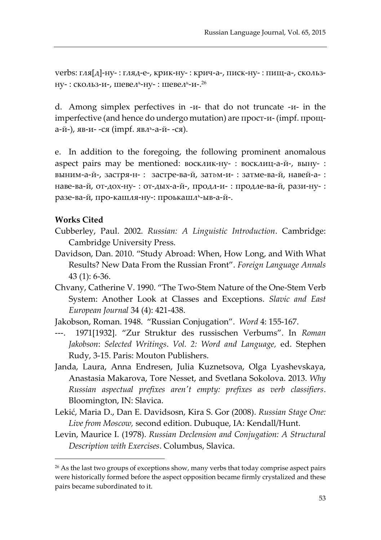verbs: гля[д]-ну- : гляд-е-, крик-ну- : крич-а-, писк-ну- : пищ-а-, скользну- : ско*л*ьз-и-, шеве*л*ь-ну- : шевель-и-.<sup>26</sup>

d. Among simplex perfectives in -и- that do not truncate -и- in the imperfective (and hence do undergo mutation) are прост-и- (impf. проща-й-), яв-и- -ся (impf. явл<sup>ь</sup>-а-й- -ся).

e. In addition to the foregoing, the following prominent anomalous aspect pairs may be mentioned: восклик-ну- : восклиц-а-й-, выну- : выним-а-й-, застря-н- : застре-ва-й, зат*ь*м-и- : затме-ва-й, навей-а- : наве-ва-й, от-дох-ну- : от-дых-а-й-, продл-и- : продле-ва-й, рази-ну- : разе-ва-й, про-кашля-ну-: проькашл<sup>ь</sup>-ыв-а-й-.

## **Works Cited**

 $\overline{\phantom{a}}$ 

- Cubberley, Paul. 2002. *Russian: A Linguistic Introduction*. Cambridge: Cambridge University Press.
- Davidson, Dan. 2010. "Study Abroad: When, How Long, and With What Results? New Data From the Russian Front". *Foreign Language Annals*  43 (1): 6-36.
- Chvany, Catherine V. 1990. "The Two-Stem Nature of the One-Stem Verb System: Another Look at Classes and Exceptions. *Slavic and East European Journal* 34 (4): 421-438.
- Jakobson, Roman. 1948. "Russian Conjugation". *Word* 4: 155-167.
- ---. 1971[1932]. "Zur Struktur des russischen Verbums". In *Roman Jakobson*: *Selected Writings*. *Vol. 2: Word and Language,* ed. Stephen Rudy, 3-15. Paris: Mouton Publishers.
- Janda, Laura, Anna Endresen, Julia Kuznetsova, Olga Lyashevskaya, Anastasia Makarova, Tore Nesset, and Svetlana Sokolova. 2013. *Why Russian aspectual prefixes aren't empty: prefixes as verb classifiers*. Bloomington, IN: Slavica.
- Lekić, Maria D., Dan E. Davidsosn, Kira S. Gor (2008). *Russian Stage One: Live from Moscow,* second edition. Dubuque, IA: Kendall/Hunt.
- Levin, Maurice I. (1978). *Russian Declension and Conjugation: A Structural Description with Exercises*. Columbus, Slavica.

<sup>&</sup>lt;sup>26</sup> As the last two groups of exceptions show, many verbs that today comprise aspect pairs were historically formed before the aspect opposition became firmly crystalized and these pairs became subordinated to it.